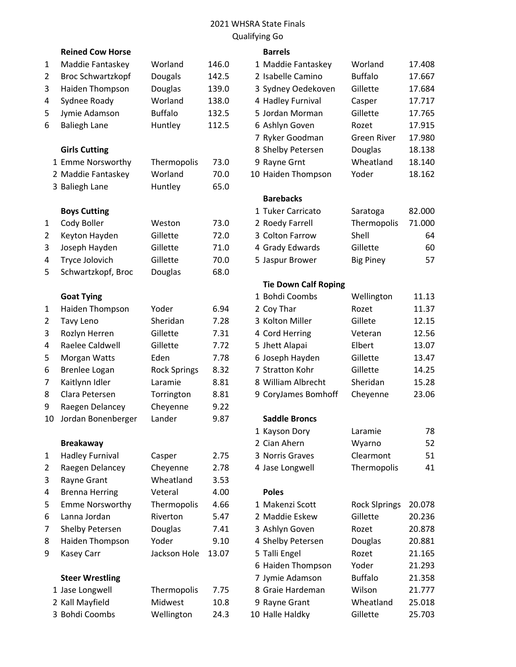#### 2021 WHSRA State Finals Qualifying Go

# Reined Cow Horse **Barrels** 1 Maddie Fantaskey Worland 146.0 2 Broc Schwartzkopf Dougals 142.5 3 Haiden Thompson Douglas 139.0 4 Sydnee Roady **Worland** 138.0 5 Jymie Adamson Buffalo 132.5 6 Baliegh Lane Huntley 112.5 **Girls Cutting** 1 Emme Norsworthy Thermopolis 73.0 2 Maddie Fantaskey Worland 70.0 3 Baliegh Lane Huntley 65.0 **Boys Cutting** 1 Cody Boller Weston 73.0 2 Keyton Hayden Gillette 72.0 3 Joseph Hayden Gillette 71.0 4 Tryce Jolovich Gillette 70.0 5 Schwartzkopf, Broc Douglas 68.0 **Goat Tying** 1 Haiden Thompson Yoder 6.94 3 Rozlyn Herren Gillette 7.31 4 Raelee Caldwell Gillette 7.72 5 Morgan Watts Eden 17.78 6 Brenlee Logan Rock Springs 8.32 7 Kaitlynn Idler Laramie 8.81 8 Clara Petersen Torrington 8.81 9 Raegen Delancey Cheyenne 9.22 10 Jordan Bonenberger Lander 9.87 **Breakaway** 1 Hadley Furnival Casper 2.75 2 Raegen Delancey Cheyenne 2.78 3 Rayne Grant Wheatland 3.53 4 Brenna Herring Veteral 4.00

| <b>Emme Norsworthy</b> | Thermopo   |
|------------------------|------------|
| Lanna Jordan           | Riverton   |
| <b>Shelby Petersen</b> | Douglas    |
| Haiden Thompson        | Yoder      |
| <b>Kasey Carr</b>      | Jackson Ho |
| <b>Steer Wrestling</b> |            |

| 1 Jase Longwell | Thermopolis | 7.75 |
|-----------------|-------------|------|
| 2 Kall Mayfield | Midwest     | 10.8 |
| 3 Bohdi Coombs  | Wellington  | 24.3 |

|    | טע שטוו וועופ            |                     |       |                                     |                                |
|----|--------------------------|---------------------|-------|-------------------------------------|--------------------------------|
| 1  | Maddie Fantaskey         | Worland             | 146.0 | 1 Maddie Fantaskey<br>Worland       | 17.408                         |
| 2  | <b>Broc Schwartzkopf</b> | Dougals             | 142.5 | <b>Buffalo</b><br>2 Isabelle Camino | 17.667                         |
| 3  | Haiden Thompson          | Douglas             | 139.0 | 3 Sydney Oedekoven<br>Gillette      | 17.684                         |
| 4  | Sydnee Roady             | Worland             | 138.0 | 4 Hadley Furnival<br>Casper         | 17.717                         |
| 5  | Jymie Adamson            | <b>Buffalo</b>      | 132.5 | 5 Jordan Morman<br>Gillette         | 17.765                         |
| 6  | <b>Baliegh Lane</b>      | Huntley             | 112.5 | 6 Ashlyn Goven<br>Rozet             | 17.915                         |
|    |                          |                     |       | 7 Ryker Goodman                     | 17.980<br><b>Green River</b>   |
|    | <b>Girls Cutting</b>     |                     |       | 8 Shelby Petersen<br>Douglas        | 18.138                         |
|    | 1 Emme Norsworthy        | Thermopolis         | 73.0  | 9 Rayne Grnt                        | Wheatland<br>18.140            |
|    | 2 Maddie Fantaskey       | Worland             | 70.0  | 10 Haiden Thompson<br>Yoder         | 18.162                         |
|    | 3 Baliegh Lane           | Huntley             | 65.0  |                                     |                                |
|    |                          |                     |       | <b>Barebacks</b>                    |                                |
|    | <b>Boys Cutting</b>      |                     |       | 1 Tuker Carricato<br>Saratoga       | 82.000                         |
| 1  | Cody Boller              | Weston              | 73.0  | 2 Roedy Farrell                     | Thermopolis<br>71.000          |
| 2  | Keyton Hayden            | Gillette            | 72.0  | 3 Colton Farrow<br>Shell            | 64                             |
| 3  | Joseph Hayden            | Gillette            | 71.0  | 4 Grady Edwards<br>Gillette         | 60                             |
| 4  | Tryce Jolovich           | Gillette            | 70.0  | 5 Jaspur Brower<br><b>Big Piney</b> | 57                             |
| 5  | Schwartzkopf, Broc       | Douglas             | 68.0  |                                     |                                |
|    |                          |                     |       | <b>Tie Down Calf Roping</b>         |                                |
|    | <b>Goat Tying</b>        |                     |       | 1 Bohdi Coombs                      | Wellington<br>11.13            |
| 1  | Haiden Thompson          | Yoder               | 6.94  | 2 Coy Thar<br>Rozet                 | 11.37                          |
| 2  | Tavy Leno                | Sheridan            | 7.28  | 3 Kolton Miller<br>Gillete          | 12.15                          |
| 3  | Rozlyn Herren            | Gillette            | 7.31  | 4 Cord Herring<br>Veteran           | 12.56                          |
| 4  | Raelee Caldwell          | Gillette            | 7.72  | 5 Jhett Alapai<br>Elbert            | 13.07                          |
| 5  | Morgan Watts             | Eden                | 7.78  | 6 Joseph Hayden<br>Gillette         | 13.47                          |
| 6  | <b>Brenlee Logan</b>     | <b>Rock Springs</b> | 8.32  | Gillette<br>7 Stratton Kohr         | 14.25                          |
| 7  | Kaitlynn Idler           | Laramie             | 8.81  | 8 William Albrecht<br>Sheridan      | 15.28                          |
| 8  | Clara Petersen           | Torrington          | 8.81  | 9 CoryJames Bomhoff<br>Cheyenne     | 23.06                          |
| 9  | Raegen Delancey          | Cheyenne            | 9.22  |                                     |                                |
| 10 | Jordan Bonenberger       | Lander              | 9.87  | <b>Saddle Broncs</b>                |                                |
|    |                          |                     |       | 1 Kayson Dory<br>Laramie            | 78                             |
|    | <b>Breakaway</b>         |                     |       | 2 Cian Ahern<br>Wyarno              | 52                             |
| 1  | <b>Hadley Furnival</b>   | Casper              | 2.75  | 3 Norris Graves<br>Clearmont        | 51                             |
| 2  | Raegen Delancey          | Cheyenne            | 2.78  | 4 Jase Longwell                     | Thermopolis<br>41              |
| 3  | Rayne Grant              | Wheatland           | 3.53  |                                     |                                |
| 4  | <b>Brenna Herring</b>    | Veteral             | 4.00  | <b>Poles</b>                        |                                |
| 5  | <b>Emme Norsworthy</b>   | Thermopolis         | 4.66  | 1 Makenzi Scott                     | <b>Rock Slprings</b><br>20.078 |
| 6  | Lanna Jordan             | Riverton            | 5.47  | 2 Maddie Eskew<br>Gillette          | 20.236                         |
| 7  | Shelby Petersen          | Douglas             | 7.41  | 3 Ashlyn Goven<br>Rozet             | 20.878                         |
| 8  | Haiden Thompson          | Yoder               | 9.10  | 4 Shelby Petersen<br>Douglas        | 20.881                         |
| 9  | <b>Kasey Carr</b>        | Jackson Hole        | 13.07 | Rozet<br>5 Talli Engel              | 21.165                         |
|    |                          |                     |       | Yoder<br>6 Haiden Thompson          | 21.293                         |
|    | <b>Steer Wrestling</b>   |                     |       | <b>Buffalo</b><br>7 Jymie Adamson   | 21.358                         |
|    | 1 Jase Longwell          | Thermopolis         | 7.75  | 8 Graie Hardeman<br>Wilson          | 21.777                         |
|    | 2 Kall Mayfield          | Midwest             | 10.8  | 9 Rayne Grant                       | Wheatland<br>25.018            |
|    | 3 Bohdi Coombs           | Wellington          | 24.3  | 10 Halle Haldky<br>Gillette         | 25.703                         |